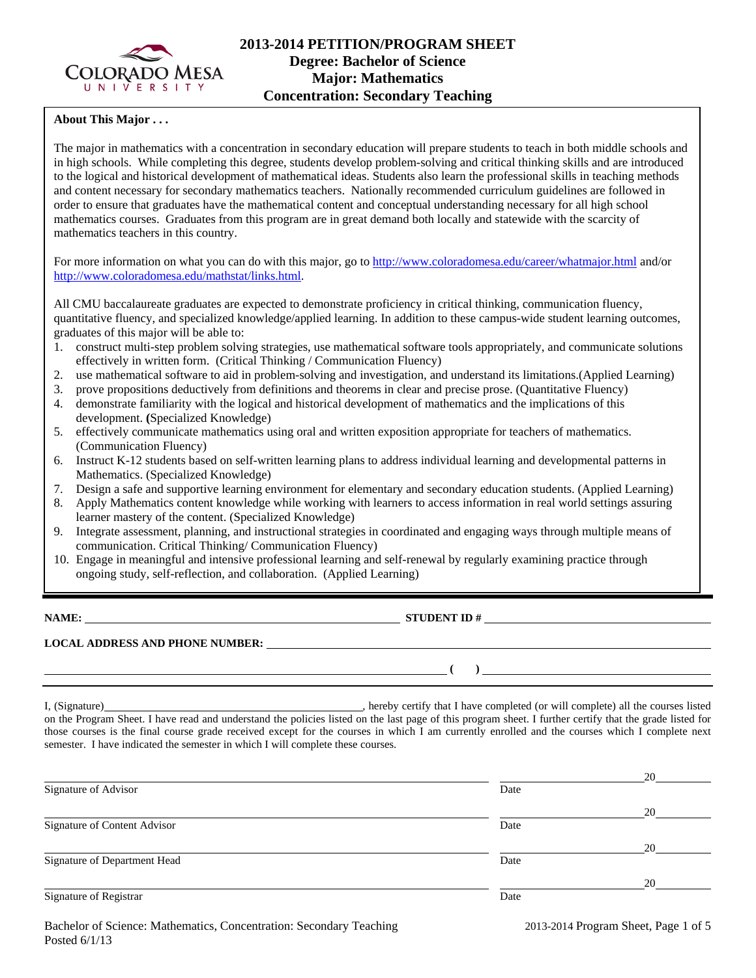

# **2013-2014 PETITION/PROGRAM SHEET Degree: Bachelor of Science Major: Mathematics Concentration: Secondary Teaching**

## **About This Major . . .**

The major in mathematics with a concentration in secondary education will prepare students to teach in both middle schools and in high schools. While completing this degree, students develop problem-solving and critical thinking skills and are introduced to the logical and historical development of mathematical ideas. Students also learn the professional skills in teaching methods and content necessary for secondary mathematics teachers. Nationally recommended curriculum guidelines are followed in order to ensure that graduates have the mathematical content and conceptual understanding necessary for all high school mathematics courses. Graduates from this program are in great demand both locally and statewide with the scarcity of mathematics teachers in this country.

For more information on what you can do with this major, go to http://www.coloradomesa.edu/career/whatmajor.html and/or http://www.coloradomesa.edu/mathstat/links.html.

All CMU baccalaureate graduates are expected to demonstrate proficiency in critical thinking, communication fluency, quantitative fluency, and specialized knowledge/applied learning. In addition to these campus-wide student learning outcomes, graduates of this major will be able to:

- 1. construct multi-step problem solving strategies, use mathematical software tools appropriately, and communicate solutions effectively in written form. (Critical Thinking / Communication Fluency)
- 2. use mathematical software to aid in problem-solving and investigation, and understand its limitations.(Applied Learning)
- 3. prove propositions deductively from definitions and theorems in clear and precise prose. (Quantitative Fluency)
- 4. demonstrate familiarity with the logical and historical development of mathematics and the implications of this development. **(**Specialized Knowledge)
- 5. effectively communicate mathematics using oral and written exposition appropriate for teachers of mathematics. (Communication Fluency)
- 6. Instruct K-12 students based on self-written learning plans to address individual learning and developmental patterns in Mathematics. (Specialized Knowledge)
- 7. Design a safe and supportive learning environment for elementary and secondary education students. (Applied Learning)
- 8. Apply Mathematics content knowledge while working with learners to access information in real world settings assuring learner mastery of the content. (Specialized Knowledge)
- 9. Integrate assessment, planning, and instructional strategies in coordinated and engaging ways through multiple means of communication. Critical Thinking/ Communication Fluency)
- 10. Engage in meaningful and intensive professional learning and self-renewal by regularly examining practice through ongoing study, self-reflection, and collaboration. (Applied Learning)

**NAME: STUDENT ID #** 

 $($   $)$ 

# **LOCAL ADDRESS AND PHONE NUMBER:**

I, (Signature) , hereby certify that I have completed (or will complete) all the courses listed on the Program Sheet. I have read and understand the policies listed on the last page of this program sheet. I further certify that the grade listed for those courses is the final course grade received except for the courses in which I am currently enrolled and the courses which I complete next semester. I have indicated the semester in which I will complete these courses.

|                              |      | 20 |
|------------------------------|------|----|
| Signature of Advisor         | Date |    |
|                              |      | 20 |
| Signature of Content Advisor | Date |    |
|                              |      | 20 |
| Signature of Department Head | Date |    |
|                              |      | 20 |
| Signature of Registrar       | Date |    |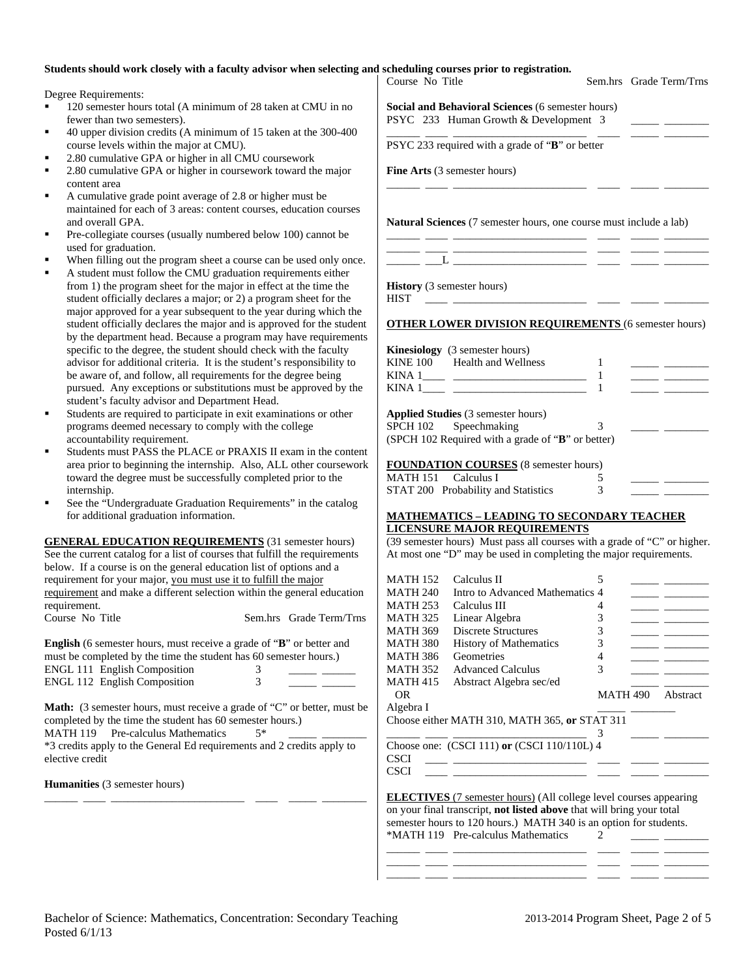#### Students should work closely with a faculty advisor when selecting and sch

Degree Requirements:

- 120 semester hours total (A minimum of 28 taken at CMU in no fewer than two semesters).
- 40 upper division credits (A minimum of 15 taken at the 300-400 course levels within the major at CMU).
- 2.80 cumulative GPA or higher in all CMU coursework
- 2.80 cumulative GPA or higher in coursework toward the major content area
- A cumulative grade point average of 2.8 or higher must be maintained for each of 3 areas: content courses, education courses and overall GPA.
- Pre-collegiate courses (usually numbered below 100) cannot be used for graduation.
- When filling out the program sheet a course can be used only once.
- A student must follow the CMU graduation requirements either from 1) the program sheet for the major in effect at the time the student officially declares a major; or 2) a program sheet for the major approved for a year subsequent to the year during which the student officially declares the major and is approved for the student by the department head. Because a program may have requirements specific to the degree, the student should check with the faculty advisor for additional criteria. It is the student's responsibility to be aware of, and follow, all requirements for the degree being pursued. Any exceptions or substitutions must be approved by the student's faculty advisor and Department Head.
- Students are required to participate in exit examinations or other programs deemed necessary to comply with the college accountability requirement.
- Students must PASS the PLACE or PRAXIS II exam in the content area prior to beginning the internship. Also, ALL other coursework toward the degree must be successfully completed prior to the internship.
- See the "Undergraduate Graduation Requirements" in the catalog for additional graduation information.

**GENERAL EDUCATION REQUIREMENTS** (31 semester hours) See the current catalog for a list of courses that fulfill the requirements below. If a course is on the general education list of options and a requirement for your major, you must use it to fulfill the major requirement and make a different selection within the general education requirement. Course No Title Sem.hrs Grade Term/Trns

**English** (6 semester hours, must receive a grade of "**B**" or better and must be completed by the time the student has 60 semester hours.) ENGL 111 English Composition 3 ENGL 112 English Composition 3 \_\_\_\_\_ \_\_\_\_\_\_

Math: (3 semester hours, must receive a grade of "C" or better, must be completed by the time the student has 60 semester hours.) MATH 119 Pre-calculus Mathematics  $5*$ 

\*3 credits apply to the General Ed requirements and 2 credits apply to elective credit

\_\_\_\_\_\_ \_\_\_\_ \_\_\_\_\_\_\_\_\_\_\_\_\_\_\_\_\_\_\_\_\_\_\_\_ \_\_\_\_ \_\_\_\_\_ \_\_\_\_\_\_\_\_

**Humanities** (3 semester hours)

| cheduling courses prior to registration.<br>Course No Title                                       | Sem.hrs Grade Term/Trns |
|---------------------------------------------------------------------------------------------------|-------------------------|
| <b>Social and Behavioral Sciences</b> (6 semester hours)<br>PSYC 233 Human Growth & Development 3 |                         |
| PSYC 233 required with a grade of "B" or better                                                   |                         |
| <b>Fine Arts</b> (3 semester hours)                                                               |                         |
|                                                                                                   |                         |
| <b>Natural Sciences</b> (7 semester hours, one course must include a lab)                         |                         |

\_\_\_\_\_\_ \_\_\_L \_\_\_\_\_\_\_\_\_\_\_\_\_\_\_\_\_\_\_\_\_\_\_\_ \_\_\_\_ \_\_\_\_\_ \_\_\_\_\_\_\_\_

**History** (3 semester hours) HIST \_\_\_\_ \_\_\_\_\_\_\_\_\_\_\_\_\_\_\_\_\_\_\_\_\_\_\_\_ \_\_\_\_ \_\_\_\_\_ \_\_\_\_\_\_\_\_

### **OTHER LOWER DIVISION REQUIREMENTS** (6 semester hours)

\_\_\_\_\_\_ \_\_\_\_ \_\_\_\_\_\_\_\_\_\_\_\_\_\_\_\_\_\_\_\_\_\_\_\_ \_\_\_\_ \_\_\_\_\_ \_\_\_\_\_\_\_\_ \_\_\_\_\_\_ \_\_\_\_ \_\_\_\_\_\_\_\_\_\_\_\_\_\_\_\_\_\_\_\_\_\_\_\_ \_\_\_\_ \_\_\_\_\_ \_\_\_\_\_\_\_\_

| <b>Kinesiology</b> (3 semester hours)<br>KINE 100 Health and Wellness |  |
|-----------------------------------------------------------------------|--|
| <b>Applied Studies</b> (3 semester hours)<br>SPCH 102 Speechmaking    |  |

(SPCH 102 Required with a grade of "**B**" or better)

**FOUNDATION COURSES** (8 semester hours)

MATH 151 Calculus I 5<br>
STAT 200 Probability and Statistics 3 STAT 200 Probability and Statistics

### **MATHEMATICS – LEADING TO SECONDARY TEACHER LICENSURE MAJOR REQUIREMENTS**

(39 semester hours) Must pass all courses with a grade of "C" or higher. At most one "D" may be used in completing the major requirements.

| <b>MATH 152</b> | Calculus II                                     |                 |          |
|-----------------|-------------------------------------------------|-----------------|----------|
| <b>MATH 240</b> | Intro to Advanced Mathematics 4                 |                 |          |
| <b>MATH 253</b> | Calculus III                                    |                 |          |
| <b>MATH 325</b> | Linear Algebra                                  |                 |          |
| <b>MATH 369</b> | Discrete Structures                             | 3               |          |
| <b>MATH 380</b> | <b>History of Mathematics</b>                   | 3               |          |
| <b>MATH 386</b> | Geometries                                      |                 |          |
| <b>MATH 352</b> | <b>Advanced Calculus</b>                        | 3               |          |
| <b>MATH 415</b> | Abstract Algebra sec/ed                         |                 |          |
| OR.             |                                                 | <b>MATH 490</b> | Abstract |
| Algebra I       |                                                 |                 |          |
|                 | Choose either MATH 310, MATH 365, or STAT 311   |                 |          |
|                 |                                                 |                 |          |
|                 | Choose one: $(CSCI 111)$ or $(CSCI 110/110L)$ 4 |                 |          |
| CSCI            |                                                 |                 |          |
| esci            |                                                 |                 |          |

**ELECTIVES** (7 semester hours) (All college level courses appearing on your final transcript, **not listed above** that will bring your total semester hours to 120 hours.) MATH 340 is an option for students.  $*$ MATH 119 Pre-calculus Mathematics 2

\_\_\_\_\_\_ \_\_\_\_ \_\_\_\_\_\_\_\_\_\_\_\_\_\_\_\_\_\_\_\_\_\_\_\_ \_\_\_\_ \_\_\_\_\_ \_\_\_\_\_\_\_\_ \_\_\_\_\_\_ \_\_\_\_ \_\_\_\_\_\_\_\_\_\_\_\_\_\_\_\_\_\_\_\_\_\_\_\_ \_\_\_\_ \_\_\_\_\_ \_\_\_\_\_\_\_\_ \_\_\_\_\_\_ \_\_\_\_ \_\_\_\_\_\_\_\_\_\_\_\_\_\_\_\_\_\_\_\_\_\_\_\_ \_\_\_\_ \_\_\_\_\_ \_\_\_\_\_\_\_\_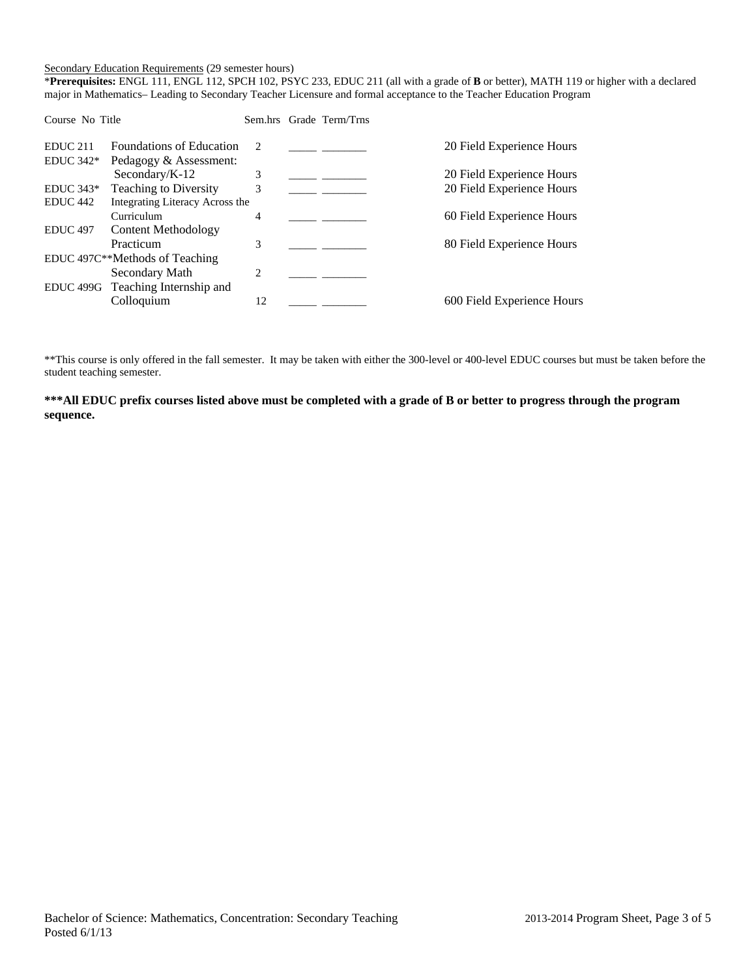### Secondary Education Requirements (29 semester hours)

\***Prerequisites:** ENGL 111, ENGL 112, SPCH 102, PSYC 233, EDUC 211 (all with a grade of **B** or better), MATH 119 or higher with a declared major in Mathematics– Leading to Secondary Teacher Licensure and formal acceptance to the Teacher Education Program

| Course No Title     |                                   |                               | Sem.hrs Grade Term/Trns |                            |
|---------------------|-----------------------------------|-------------------------------|-------------------------|----------------------------|
| EDUC <sub>211</sub> | <b>Foundations of Education</b>   | $\mathcal{D}$                 |                         | 20 Field Experience Hours  |
| EDUC $342*$         | Pedagogy & Assessment:            |                               |                         |                            |
|                     | Secondary/ $K-12$                 | 3                             |                         | 20 Field Experience Hours  |
| $EDUC 343*$         | <b>Teaching to Diversity</b>      | 3                             |                         | 20 Field Experience Hours  |
| EDUC <sub>442</sub> | Integrating Literacy Across the   |                               |                         |                            |
|                     | Curriculum                        | 4                             |                         | 60 Field Experience Hours  |
| <b>EDUC 497</b>     | Content Methodology               |                               |                         |                            |
|                     | Practicum                         | 3                             |                         | 80 Field Experience Hours  |
|                     | EDUC 497C**Methods of Teaching    |                               |                         |                            |
|                     | Secondary Math                    | $\mathfrak{D}_{\mathfrak{p}}$ |                         |                            |
|                     | EDUC 499G Teaching Internship and |                               |                         |                            |
|                     | Colloquium                        | 12                            |                         | 600 Field Experience Hours |
|                     |                                   |                               |                         |                            |

\*\*This course is only offered in the fall semester. It may be taken with either the 300-level or 400-level EDUC courses but must be taken before the student teaching semester.

**\*\*\*All EDUC prefix courses listed above must be completed with a grade of B or better to progress through the program sequence.**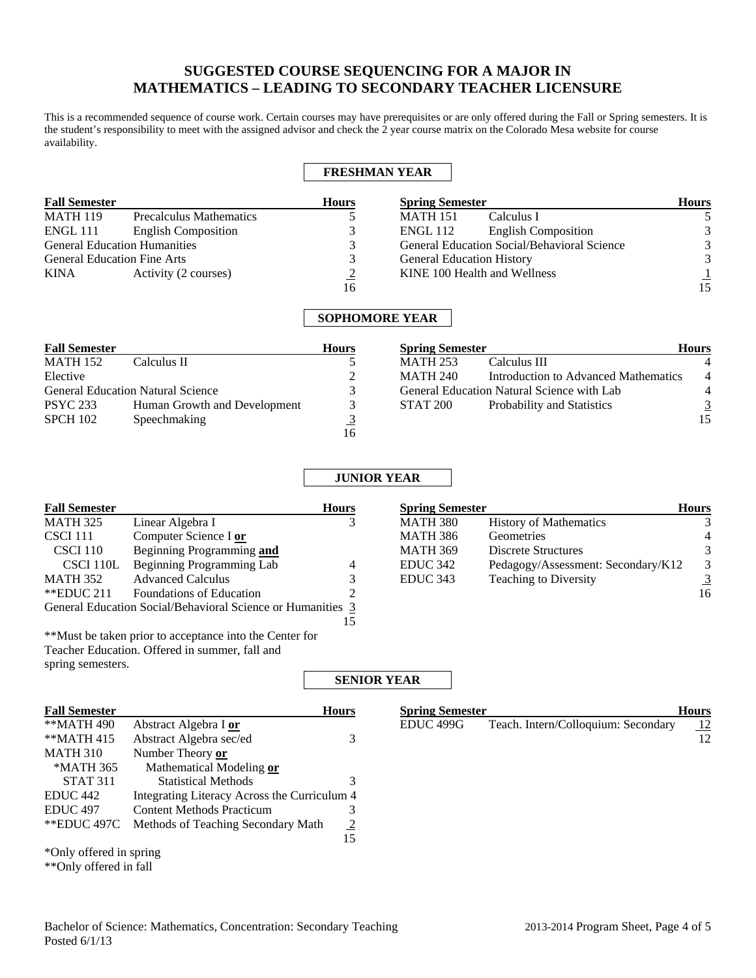# **SUGGESTED COURSE SEQUENCING FOR A MAJOR IN MATHEMATICS – LEADING TO SECONDARY TEACHER LICENSURE**

This is a recommended sequence of course work. Certain courses may have prerequisites or are only offered during the Fall or Spring semesters. It is the student's responsibility to meet with the assigned advisor and check the 2 year course matrix on the Colorado Mesa website for course availability.

## **FRESHMAN YEAR**

| <b>Fall Semester</b> |                                     | <b>Hours</b> | <b>Spring Semester</b>                        | <b>Hours</b> |
|----------------------|-------------------------------------|--------------|-----------------------------------------------|--------------|
| <b>MATH 119</b>      | <b>Precalculus Mathematics</b>      |              | Calculus I<br><b>MATH 151</b>                 |              |
| ENGL 111             | <b>English Composition</b>          |              | <b>English Composition</b><br><b>ENGL</b> 112 |              |
|                      | <b>General Education Humanities</b> |              | General Education Social/Behavioral Science   | 3            |
|                      | <b>General Education Fine Arts</b>  |              | <b>General Education History</b>              | 3            |
| KINA                 | Activity (2 courses)                |              | KINE 100 Health and Wellness                  |              |
|                      |                                     | 16           |                                               | 15           |

## **SOPHOMORE YEAR**

| <b>Fall Semester</b> |                                          | <b>Hours</b> | <b>Spring Semester</b> |                                            | <b>Hours</b>   |
|----------------------|------------------------------------------|--------------|------------------------|--------------------------------------------|----------------|
| <b>MATH 152</b>      | Calculus II                              |              | <b>MATH 253</b>        | Calculus III                               |                |
| Elective             |                                          |              | <b>MATH 240</b>        | Introduction to Advanced Mathematics       | $\overline{4}$ |
|                      | <b>General Education Natural Science</b> |              |                        | General Education Natural Science with Lab |                |
| <b>PSYC 233</b>      | Human Growth and Development             |              | <b>STAT 200</b>        | Probability and Statistics                 |                |
| SPCH 102             | Speechmaking                             |              |                        |                                            | 15             |
|                      |                                          | 16           |                        |                                            |                |

# **JUNIOR YEAR**

| <b>Fall Semester</b> |                                                             | <b>Hours</b> | <b>Spring Semester</b> |                                    | <b>Hours</b>  |
|----------------------|-------------------------------------------------------------|--------------|------------------------|------------------------------------|---------------|
| MATH 325             | Linear Algebra I                                            |              | MATH 380               | <b>History of Mathematics</b>      | 3             |
| <b>CSCI</b> 111      | Computer Science I or                                       |              | <b>MATH 386</b>        | Geometries                         |               |
| CSCI 110             | Beginning Programming and                                   |              | <b>MATH 369</b>        | <b>Discrete Structures</b>         | 3             |
| CSCI 110L            | Beginning Programming Lab                                   | 4            | EDUC 342               | Pedagogy/Assessment: Secondary/K12 | $\mathcal{E}$ |
| <b>MATH 352</b>      | <b>Advanced Calculus</b>                                    |              | EDUC <sub>343</sub>    | Teaching to Diversity              | 3             |
| **EDUC 211           | Foundations of Education                                    |              |                        |                                    | 16            |
|                      | General Education Social/Behavioral Science or Humanities 3 |              |                        |                                    |               |

\*\*Must be taken prior to acceptance into the Center for Teacher Education. Offered in summer, fall and spring semesters.

15

## **SENIOR YEAR**

| <b>Fall Semester</b>    |                                              | Hours          |
|-------------------------|----------------------------------------------|----------------|
| **MATH 490              | Abstract Algebra I or                        |                |
| **MATH $415$            | Abstract Algebra sec/ed                      | 3              |
| <b>MATH 310</b>         | Number Theory or                             |                |
| *MATH 365               | Mathematical Modeling or                     |                |
| <b>STAT 311</b>         | <b>Statistical Methods</b>                   | 3              |
| EDUC <sub>442</sub>     | Integrating Literacy Across the Curriculum 4 |                |
| EDUC <sub>497</sub>     | <b>Content Methods Practicum</b>             | 3              |
| **EDUC 497C             | Methods of Teaching Secondary Math           | $\overline{2}$ |
|                         |                                              | 15             |
| *Only offered in spring |                                              |                |
| **Only offered in fall  |                                              |                |

| <b>Spring Semester</b> |                                     | <b>Hours</b> |
|------------------------|-------------------------------------|--------------|
| EDUC 499G              | Teach. Intern/Colloquium: Secondary | <u>12</u>    |